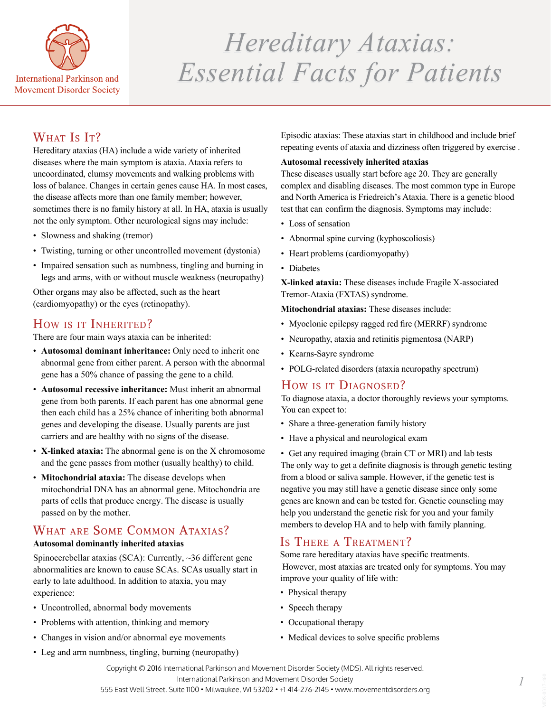

# *Hereditary Ataxias: Hereditary Ataxias: Essential Facts for Patients Essential Facts for Patients*

# WHAT IS IT?

Hereditary ataxias (HA) include a wide variety of inherited diseases where the main symptom is ataxia. Ataxia refers to uncoordinated, clumsy movements and walking problems with loss of balance. Changes in certain genes cause HA. In most cases, the disease affects more than one family member; however, sometimes there is no family history at all. In HA, ataxia is usually not the only symptom. Other neurological signs may include:

- Slowness and shaking (tremor)
- Twisting, turning or other uncontrolled movement (dystonia)
- Impaired sensation such as numbness, tingling and burning in legs and arms, with or without muscle weakness (neuropathy)

Other organs may also be affected, such as the heart (cardiomyopathy) or the eyes (retinopathy).

## How is it Inherited?

There are four main ways ataxia can be inherited:

- **Autosomal dominant inheritance:** Only need to inherit one abnormal gene from either parent. A person with the abnormal gene has a 50% chance of passing the gene to a child.
- **Autosomal recessive inheritance:** Must inherit an abnormal gene from both parents. If each parent has one abnormal gene then each child has a 25% chance of inheriting both abnormal genes and developing the disease. Usually parents are just carriers and are healthy with no signs of the disease.
- **X-linked ataxia:** The abnormal gene is on the X chromosome and the gene passes from mother (usually healthy) to child.
- **Mitochondrial ataxia:** The disease develops when mitochondrial DNA has an abnormal gene. Mitochondria are parts of cells that produce energy. The disease is usually passed on by the mother.

# WHAT ARE SOME COMMON ATAXIAS?

#### **Autosomal dominantly inherited ataxias**

Spinocerebellar ataxias (SCA): Currently, ~36 different gene abnormalities are known to cause SCAs. SCAs usually start in early to late adulthood. In addition to ataxia, you may experience:

- Uncontrolled, abnormal body movements
- Problems with attention, thinking and memory
- Changes in vision and/or abnormal eye movements
- Leg and arm numbness, tingling, burning (neuropathy)

Episodic ataxias: These ataxias start in childhood and include brief repeating events of ataxia and dizziness often triggered by exercise .

#### **Autosomal recessively inherited ataxias**

These diseases usually start before age 20. They are generally complex and disabling diseases. The most common type in Europe and North America is Friedreich's Ataxia. There is a genetic blood test that can confirm the diagnosis. Symptoms may include:

- Loss of sensation
- Abnormal spine curving (kyphoscoliosis)
- Heart problems (cardiomyopathy)
- Diabetes

**X-linked ataxia:** These diseases include Fragile X-associated Tremor-Ataxia (FXTAS) syndrome.

**Mitochondrial ataxias:** These diseases include:

- Myoclonic epilepsy ragged red fire (MERRF) syndrome
- Neuropathy, ataxia and retinitis pigmentosa (NARP)
- Kearns-Sayre syndrome
- POLG-related disorders (ataxia neuropathy spectrum)

## How is it DIAGNOSED?

To diagnose ataxia, a doctor thoroughly reviews your symptoms. You can expect to:

- Share a three-generation family history
- Have a physical and neurological exam

• Get any required imaging (brain CT or MRI) and lab tests The only way to get a definite diagnosis is through genetic testing from a blood or saliva sample. However, if the genetic test is negative you may still have a genetic disease since only some genes are known and can be tested for. Genetic counseling may help you understand the genetic risk for you and your family members to develop HA and to help with family planning.

## IS THERE A TREATMENT?

Some rare hereditary ataxias have specific treatments. However, most ataxias are treated only for symptoms. You may improve your quality of life with:

- Physical therapy
- Speech therapy
- Occupational therapy
- Medical devices to solve specific problems

Copyright © 2016 International Parkinson and Movement Disorder Society (MDS). All rights reserved. International Parkinson and Movement Disorder Society